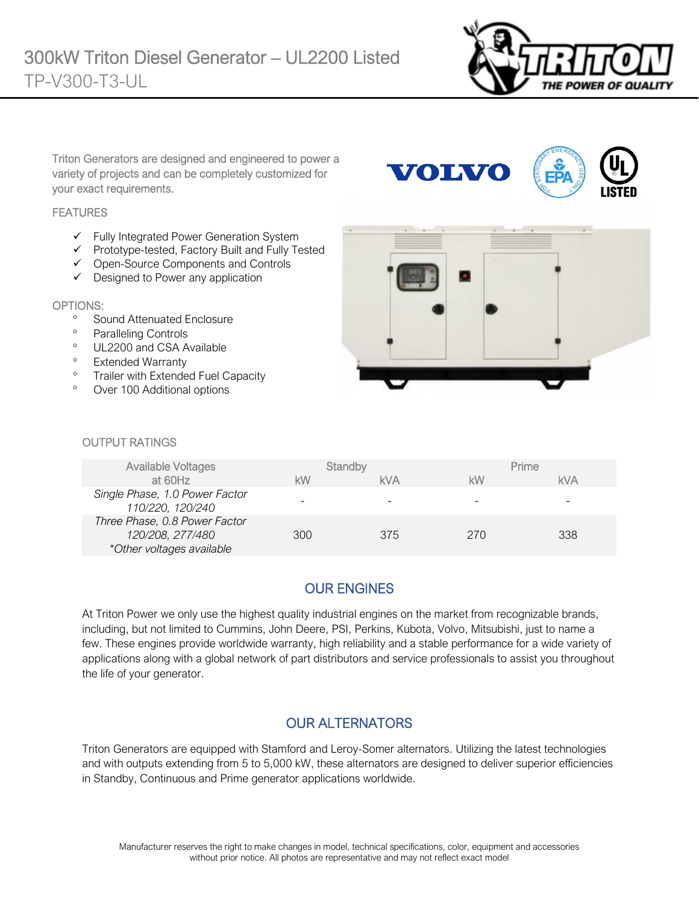

Triton Generators are designed and engineered to power a variety of projects and can be completely customized for your exact requirements.

#### **FEATURES**

- ✓ Fully Integrated Power Generation System
- ✓ Prototype-tested, Factory Built and Fully Tested
- ✓ Open-Source Components and Controls
- ✓ Designed to Power any application

#### OPTIONS:

- <sup>o</sup> Sound Attenuated Enclosure
- <sup>o</sup> Paralleling Controls
- <sup>o</sup> UL2200 and CSA Available
- <sup>o</sup> Extended Warranty
- <sup>o</sup> Trailer with Extended Fuel Capacity
- Over 100 Additional options



**VOLVO** 

#### OUTPUT RATINGS

| <b>Available Voltages</b><br>at 60Hz                                           | kW  | Standby<br><b>kVA</b> | <b>kW</b> | Prime<br><b>kVA</b> |
|--------------------------------------------------------------------------------|-----|-----------------------|-----------|---------------------|
| Single Phase, 1.0 Power Factor<br>110/220, 120/240                             |     |                       | -         | -                   |
| Three Phase, 0.8 Power Factor<br>120/208, 277/480<br>*Other voltages available | 300 | 375                   | 270       | 338                 |

## OUR ENGINES

At Triton Power we only use the highest quality industrial engines on the market from recognizable brands, including, but not limited to Cummins, John Deere, PSI, Perkins, Kubota, Volvo, Mitsubishi, just to name a few. These engines provide worldwide warranty, high reliability and a stable performance for a wide variety of applications along with a global network of part distributors and service professionals to assist you throughout the life of your generator.

#### OUR ALTERNATORS

Triton Generators are equipped with Stamford and Leroy-Somer alternators. Utilizing the latest technologies and with outputs extending from 5 to 5,000 kW, these alternators are designed to deliver superior efficiencies in Standby, Continuous and Prime generator applications worldwide.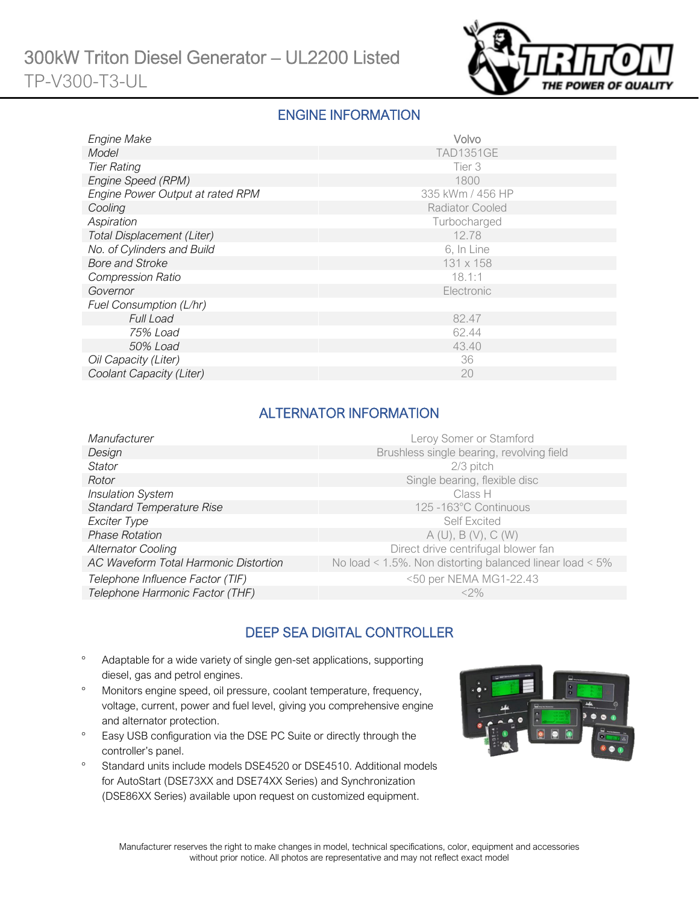

### ENGINE INFORMATION

| <b>Engine Make</b>               | Volvo                  |
|----------------------------------|------------------------|
| Model                            | <b>TAD1351GE</b>       |
| <b>Tier Rating</b>               | Tier 3                 |
| Engine Speed (RPM)               | 1800                   |
| Engine Power Output at rated RPM | 335 kWm / 456 HP       |
| Cooling                          | <b>Radiator Cooled</b> |
| Aspiration                       | Turbocharged           |
| Total Displacement (Liter)       | 12.78                  |
| No. of Cylinders and Build       | 6, In Line             |
| <b>Bore and Stroke</b>           | 131 x 158              |
| <b>Compression Ratio</b>         | 18.1:1                 |
| Governor                         | Electronic             |
| Fuel Consumption (L/hr)          |                        |
| <b>Full Load</b>                 | 82.47                  |
| 75% Load                         | 62.44                  |
| 50% Load                         | 43.40                  |
| Oil Capacity (Liter)             | 36                     |
| Coolant Capacity (Liter)         | 20                     |

## ALTERNATOR INFORMATION

| Manufacturer                          | Leroy Somer or Stamford                                         |
|---------------------------------------|-----------------------------------------------------------------|
| Design                                | Brushless single bearing, revolving field                       |
| <b>Stator</b>                         | $2/3$ pitch                                                     |
| Rotor                                 | Single bearing, flexible disc                                   |
| <b>Insulation System</b>              | Class H                                                         |
| <b>Standard Temperature Rise</b>      | 125 -163°C Continuous                                           |
| Exciter Type                          | Self Excited                                                    |
| <b>Phase Rotation</b>                 | A(U), B(V), C(W)                                                |
| <b>Alternator Cooling</b>             | Direct drive centrifugal blower fan                             |
| AC Waveform Total Harmonic Distortion | No load < $1.5\%$ . Non distorting balanced linear load < $5\%$ |
| Telephone Influence Factor (TIF)      | <50 per NEMA MG1-22.43                                          |
| Telephone Harmonic Factor (THF)       | $<$ 2%                                                          |
|                                       |                                                                 |

## DEEP SEA DIGITAL CONTROLLER

- Adaptable for a wide variety of single gen-set applications, supporting diesel, gas and petrol engines.
- Monitors engine speed, oil pressure, coolant temperature, frequency, voltage, current, power and fuel level, giving you comprehensive engine and alternator protection.
- <sup>o</sup> Easy USB configuration via the DSE PC Suite or directly through the controller's panel.
- <sup>o</sup> Standard units include models DSE4520 or DSE4510. Additional models for AutoStart (DSE73XX and DSE74XX Series) and Synchronization (DSE86XX Series) available upon request on customized equipment.

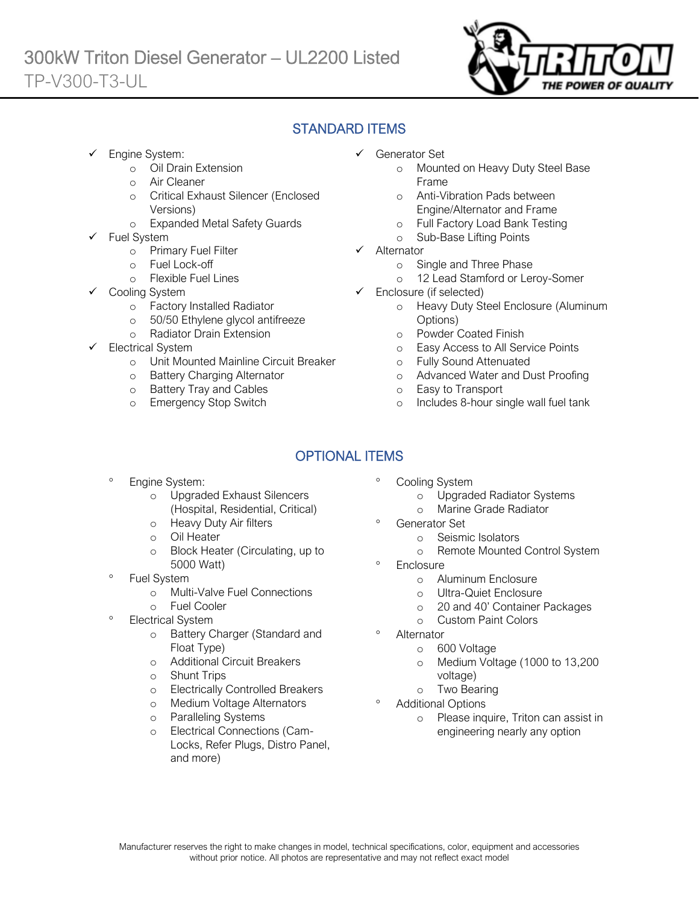

# STANDARD ITEMS

Engine System:

Ī

- o Oil Drain Extension
- o Air Cleaner
- o Critical Exhaust Silencer (Enclosed Versions)
- o Expanded Metal Safety Guards
- Fuel System
	- o Primary Fuel Filter
	- o Fuel Lock-off
		- o Flexible Fuel Lines
	- Cooling System
		- o Factory Installed Radiator
		- o 50/50 Ethylene glycol antifreeze
		- o Radiator Drain Extension
- Electrical System
	- o Unit Mounted Mainline Circuit Breaker
	- o Battery Charging Alternator
	- o Battery Tray and Cables
	- o Emergency Stop Switch
- ✓ Generator Set
	- o Mounted on Heavy Duty Steel Base Frame
	- o Anti-Vibration Pads between Engine/Alternator and Frame
	- o Full Factory Load Bank Testing
	- o Sub-Base Lifting Points
- ✓ Alternator
	- o Single and Three Phase
	- o 12 Lead Stamford or Leroy-Somer
- ✓ Enclosure (if selected)
	- o Heavy Duty Steel Enclosure (Aluminum Options)
	- o Powder Coated Finish
	- o Easy Access to All Service Points
	- o Fully Sound Attenuated
	- o Advanced Water and Dust Proofing
	- o Easy to Transport
	- o Includes 8-hour single wall fuel tank

# OPTIONAL ITEMS

- Engine System:
	- o Upgraded Exhaust Silencers (Hospital, Residential, Critical)
	- o Heavy Duty Air filters
	- o Oil Heater
	- o Block Heater (Circulating, up to 5000 Watt)
- Fuel System
	- o Multi-Valve Fuel Connections
	- o Fuel Cooler
- Electrical System
	- o Battery Charger (Standard and Float Type)
	- o Additional Circuit Breakers
	- o Shunt Trips
	- o Electrically Controlled Breakers
	- o Medium Voltage Alternators
	- o Paralleling Systems
	- o Electrical Connections (Cam-Locks, Refer Plugs, Distro Panel, and more)
- Cooling System
	- o Upgraded Radiator Systems
	- o Marine Grade Radiator
	- Generator Set
		- o Seismic Isolators
		- o Remote Mounted Control System
- **Enclosure** 
	- o Aluminum Enclosure
	- o Ultra-Quiet Enclosure
	- o 20 and 40' Container Packages
	- o Custom Paint Colors
- Alternator
	- o 600 Voltage
	- o Medium Voltage (1000 to 13,200 voltage)
	- o Two Bearing
- Additional Options
	- o Please inquire, Triton can assist in engineering nearly any option